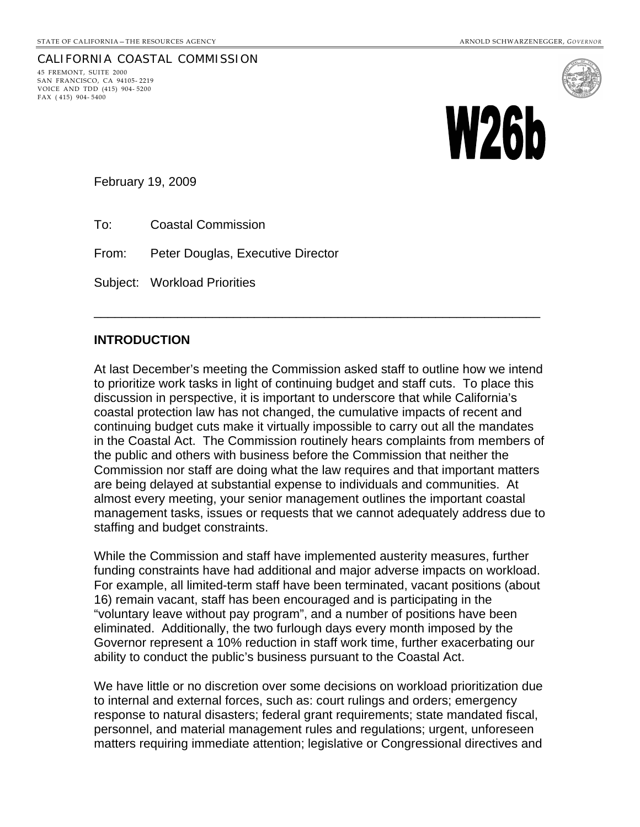### CALIFORNIA COASTAL COMMISSION 45 FREMONT, SUITE 2000 SAN FRANCISCO, CA 94105- 2219 VOICE AND TDD (415) 904- 5200 FAX ( 415) 904- 5400



February 19, 2009

To: Coastal Commission

From: Peter Douglas, Executive Director

Subject: Workload Priorities

# **INTRODUCTION**

At last December's meeting the Commission asked staff to outline how we intend to prioritize work tasks in light of continuing budget and staff cuts. To place this discussion in perspective, it is important to underscore that while California's coastal protection law has not changed, the cumulative impacts of recent and continuing budget cuts make it virtually impossible to carry out all the mandates in the Coastal Act. The Commission routinely hears complaints from members of the public and others with business before the Commission that neither the Commission nor staff are doing what the law requires and that important matters are being delayed at substantial expense to individuals and communities. At almost every meeting, your senior management outlines the important coastal management tasks, issues or requests that we cannot adequately address due to staffing and budget constraints.

\_\_\_\_\_\_\_\_\_\_\_\_\_\_\_\_\_\_\_\_\_\_\_\_\_\_\_\_\_\_\_\_\_\_\_\_\_\_\_\_\_\_\_\_\_\_\_\_\_\_\_\_\_\_\_\_\_\_\_\_\_\_\_\_

While the Commission and staff have implemented austerity measures, further funding constraints have had additional and major adverse impacts on workload. For example, all limited-term staff have been terminated, vacant positions (about 16) remain vacant, staff has been encouraged and is participating in the "voluntary leave without pay program", and a number of positions have been eliminated. Additionally, the two furlough days every month imposed by the Governor represent a 10% reduction in staff work time, further exacerbating our ability to conduct the public's business pursuant to the Coastal Act.

We have little or no discretion over some decisions on workload prioritization due to internal and external forces, such as: court rulings and orders; emergency response to natural disasters; federal grant requirements; state mandated fiscal, personnel, and material management rules and regulations; urgent, unforeseen matters requiring immediate attention; legislative or Congressional directives and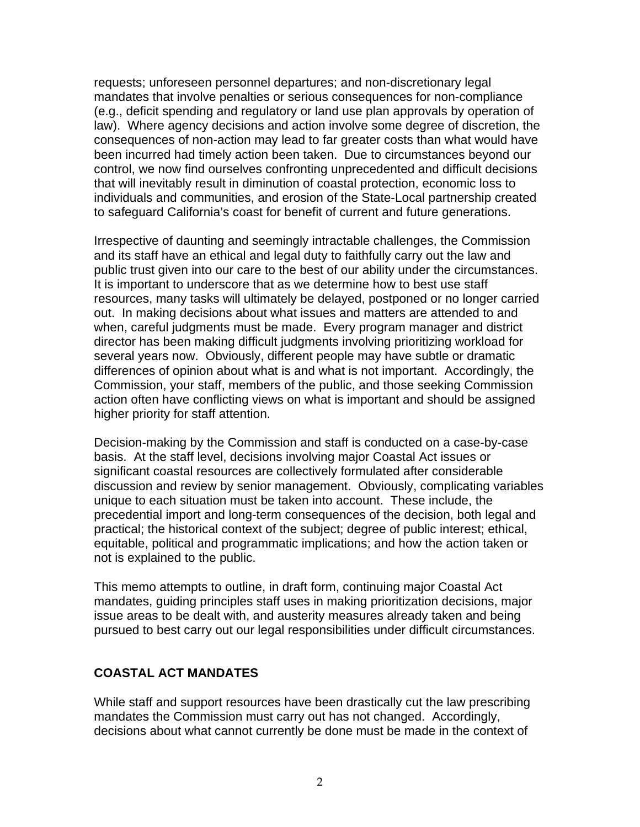requests; unforeseen personnel departures; and non-discretionary legal mandates that involve penalties or serious consequences for non-compliance (e.g., deficit spending and regulatory or land use plan approvals by operation of law). Where agency decisions and action involve some degree of discretion, the consequences of non-action may lead to far greater costs than what would have been incurred had timely action been taken. Due to circumstances beyond our control, we now find ourselves confronting unprecedented and difficult decisions that will inevitably result in diminution of coastal protection, economic loss to individuals and communities, and erosion of the State-Local partnership created to safeguard California's coast for benefit of current and future generations.

Irrespective of daunting and seemingly intractable challenges, the Commission and its staff have an ethical and legal duty to faithfully carry out the law and public trust given into our care to the best of our ability under the circumstances. It is important to underscore that as we determine how to best use staff resources, many tasks will ultimately be delayed, postponed or no longer carried out. In making decisions about what issues and matters are attended to and when, careful judgments must be made. Every program manager and district director has been making difficult judgments involving prioritizing workload for several years now. Obviously, different people may have subtle or dramatic differences of opinion about what is and what is not important. Accordingly, the Commission, your staff, members of the public, and those seeking Commission action often have conflicting views on what is important and should be assigned higher priority for staff attention.

Decision-making by the Commission and staff is conducted on a case-by-case basis. At the staff level, decisions involving major Coastal Act issues or significant coastal resources are collectively formulated after considerable discussion and review by senior management. Obviously, complicating variables unique to each situation must be taken into account. These include, the precedential import and long-term consequences of the decision, both legal and practical; the historical context of the subject; degree of public interest; ethical, equitable, political and programmatic implications; and how the action taken or not is explained to the public.

This memo attempts to outline, in draft form, continuing major Coastal Act mandates, guiding principles staff uses in making prioritization decisions, major issue areas to be dealt with, and austerity measures already taken and being pursued to best carry out our legal responsibilities under difficult circumstances.

## **COASTAL ACT MANDATES**

While staff and support resources have been drastically cut the law prescribing mandates the Commission must carry out has not changed. Accordingly, decisions about what cannot currently be done must be made in the context of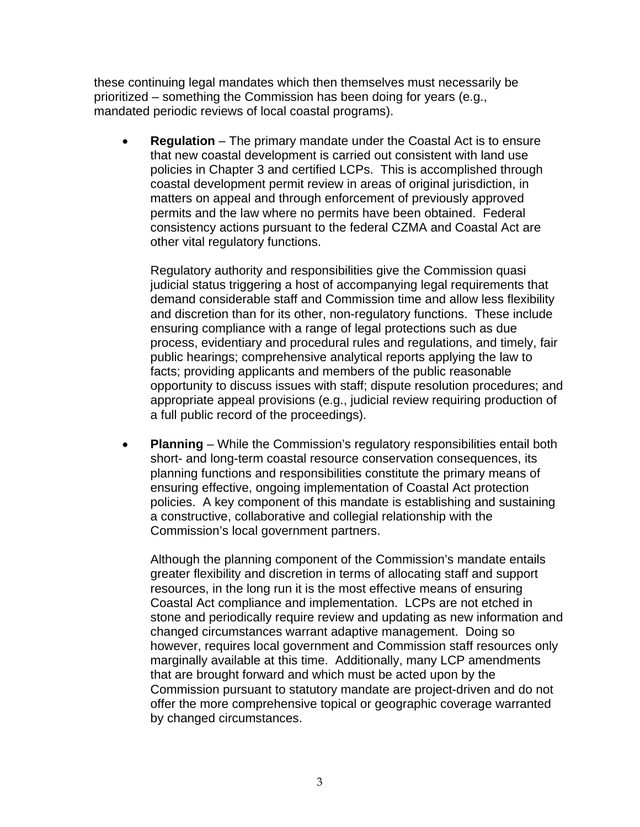these continuing legal mandates which then themselves must necessarily be prioritized – something the Commission has been doing for years (e.g., mandated periodic reviews of local coastal programs).

• **Regulation** – The primary mandate under the Coastal Act is to ensure that new coastal development is carried out consistent with land use policies in Chapter 3 and certified LCPs. This is accomplished through coastal development permit review in areas of original jurisdiction, in matters on appeal and through enforcement of previously approved permits and the law where no permits have been obtained. Federal consistency actions pursuant to the federal CZMA and Coastal Act are other vital regulatory functions.

Regulatory authority and responsibilities give the Commission quasi judicial status triggering a host of accompanying legal requirements that demand considerable staff and Commission time and allow less flexibility and discretion than for its other, non-regulatory functions. These include ensuring compliance with a range of legal protections such as due process, evidentiary and procedural rules and regulations, and timely, fair public hearings; comprehensive analytical reports applying the law to facts; providing applicants and members of the public reasonable opportunity to discuss issues with staff; dispute resolution procedures; and appropriate appeal provisions (e.g., judicial review requiring production of a full public record of the proceedings).

• **Planning** – While the Commission's regulatory responsibilities entail both short- and long-term coastal resource conservation consequences, its planning functions and responsibilities constitute the primary means of ensuring effective, ongoing implementation of Coastal Act protection policies. A key component of this mandate is establishing and sustaining a constructive, collaborative and collegial relationship with the Commission's local government partners.

Although the planning component of the Commission's mandate entails greater flexibility and discretion in terms of allocating staff and support resources, in the long run it is the most effective means of ensuring Coastal Act compliance and implementation. LCPs are not etched in stone and periodically require review and updating as new information and changed circumstances warrant adaptive management. Doing so however, requires local government and Commission staff resources only marginally available at this time. Additionally, many LCP amendments that are brought forward and which must be acted upon by the Commission pursuant to statutory mandate are project-driven and do not offer the more comprehensive topical or geographic coverage warranted by changed circumstances.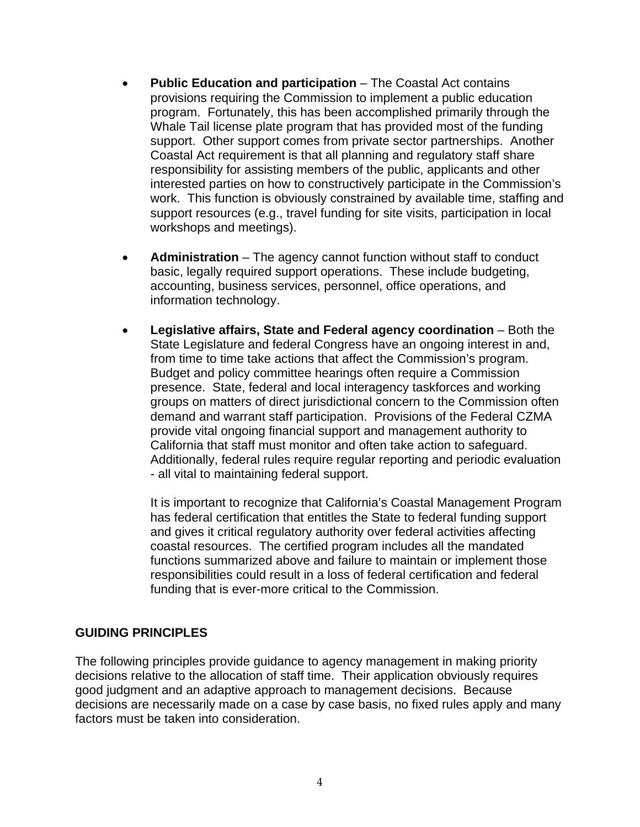- **Public Education and participation** The Coastal Act contains provisions requiring the Commission to implement a public education program. Fortunately, this has been accomplished primarily through the Whale Tail license plate program that has provided most of the funding support. Other support comes from private sector partnerships. Another Coastal Act requirement is that all planning and regulatory staff share responsibility for assisting members of the public, applicants and other interested parties on how to constructively participate in the Commission's work. This function is obviously constrained by available time, staffing and support resources (e.g., travel funding for site visits, participation in local workshops and meetings).
- **Administration**  The agency cannot function without staff to conduct basic, legally required support operations. These include budgeting, accounting, business services, personnel, office operations, and information technology.
- **Legislative affairs, State and Federal agency coordination** Both the State Legislature and federal Congress have an ongoing interest in and, from time to time take actions that affect the Commission's program. Budget and policy committee hearings often require a Commission presence. State, federal and local interagency taskforces and working groups on matters of direct jurisdictional concern to the Commission often demand and warrant staff participation. Provisions of the Federal CZMA provide vital ongoing financial support and management authority to California that staff must monitor and often take action to safeguard. Additionally, federal rules require regular reporting and periodic evaluation - all vital to maintaining federal support.

It is important to recognize that California's Coastal Management Program has federal certification that entitles the State to federal funding support and gives it critical regulatory authority over federal activities affecting coastal resources. The certified program includes all the mandated functions summarized above and failure to maintain or implement those responsibilities could result in a loss of federal certification and federal funding that is ever-more critical to the Commission.

## **GUIDING PRINCIPLES**

The following principles provide guidance to agency management in making priority decisions relative to the allocation of staff time. Their application obviously requires good judgment and an adaptive approach to management decisions. Because decisions are necessarily made on a case by case basis, no fixed rules apply and many factors must be taken into consideration.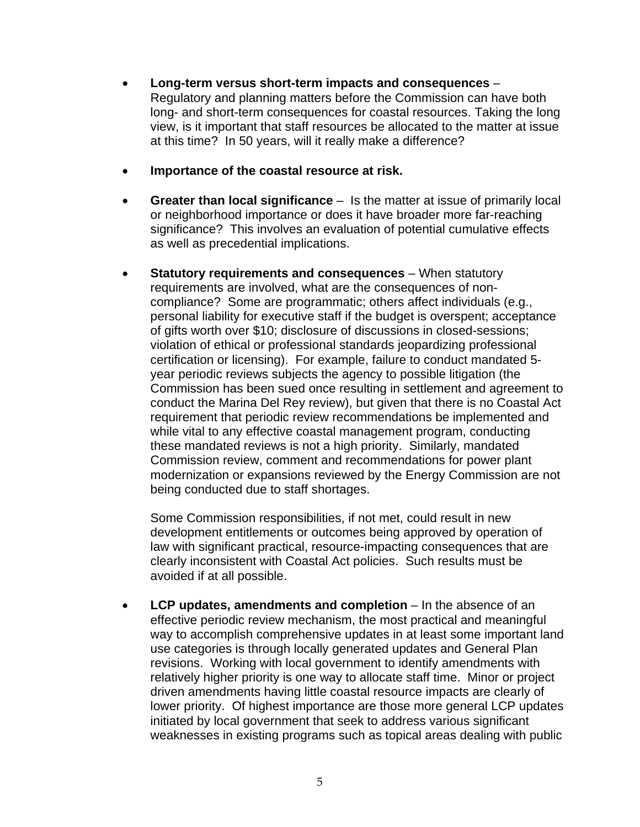- **Long-term versus short-term impacts and consequences** Regulatory and planning matters before the Commission can have both long- and short-term consequences for coastal resources. Taking the long view, is it important that staff resources be allocated to the matter at issue at this time? In 50 years, will it really make a difference?
- **Importance of the coastal resource at risk.**
- **Greater than local significance** Is the matter at issue of primarily local or neighborhood importance or does it have broader more far-reaching significance? This involves an evaluation of potential cumulative effects as well as precedential implications.
- **Statutory requirements and consequences** When statutory requirements are involved, what are the consequences of noncompliance? Some are programmatic; others affect individuals (e.g., personal liability for executive staff if the budget is overspent; acceptance of gifts worth over \$10; disclosure of discussions in closed-sessions; violation of ethical or professional standards jeopardizing professional certification or licensing). For example, failure to conduct mandated 5 year periodic reviews subjects the agency to possible litigation (the Commission has been sued once resulting in settlement and agreement to conduct the Marina Del Rey review), but given that there is no Coastal Act requirement that periodic review recommendations be implemented and while vital to any effective coastal management program, conducting these mandated reviews is not a high priority. Similarly, mandated Commission review, comment and recommendations for power plant modernization or expansions reviewed by the Energy Commission are not being conducted due to staff shortages.

Some Commission responsibilities, if not met, could result in new development entitlements or outcomes being approved by operation of law with significant practical, resource-impacting consequences that are clearly inconsistent with Coastal Act policies. Such results must be avoided if at all possible.

• **LCP updates, amendments and completion** – In the absence of an effective periodic review mechanism, the most practical and meaningful way to accomplish comprehensive updates in at least some important land use categories is through locally generated updates and General Plan revisions. Working with local government to identify amendments with relatively higher priority is one way to allocate staff time. Minor or project driven amendments having little coastal resource impacts are clearly of lower priority. Of highest importance are those more general LCP updates initiated by local government that seek to address various significant weaknesses in existing programs such as topical areas dealing with public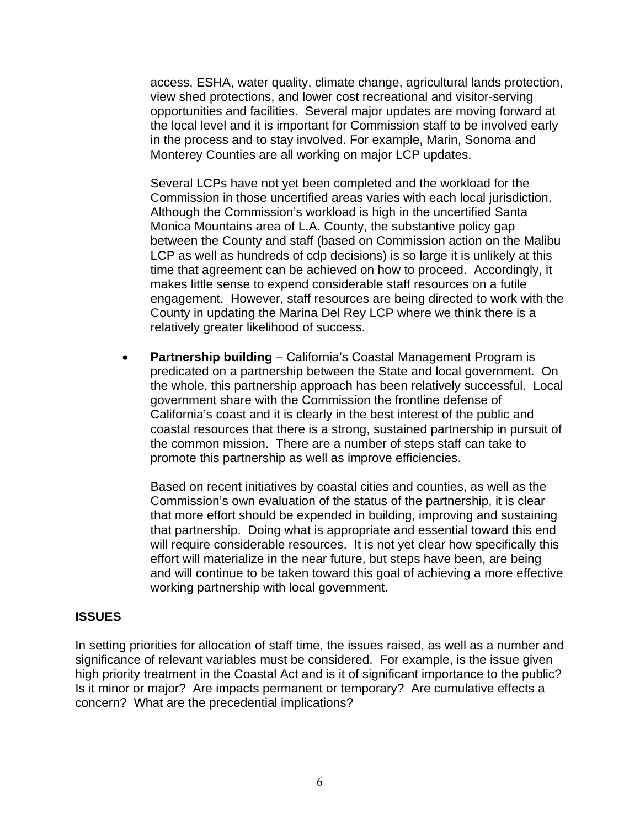access, ESHA, water quality, climate change, agricultural lands protection, view shed protections, and lower cost recreational and visitor-serving opportunities and facilities. Several major updates are moving forward at the local level and it is important for Commission staff to be involved early in the process and to stay involved. For example, Marin, Sonoma and Monterey Counties are all working on major LCP updates.

Several LCPs have not yet been completed and the workload for the Commission in those uncertified areas varies with each local jurisdiction. Although the Commission's workload is high in the uncertified Santa Monica Mountains area of L.A. County, the substantive policy gap between the County and staff (based on Commission action on the Malibu LCP as well as hundreds of cdp decisions) is so large it is unlikely at this time that agreement can be achieved on how to proceed. Accordingly, it makes little sense to expend considerable staff resources on a futile engagement. However, staff resources are being directed to work with the County in updating the Marina Del Rey LCP where we think there is a relatively greater likelihood of success.

• **Partnership building** – California's Coastal Management Program is predicated on a partnership between the State and local government. On the whole, this partnership approach has been relatively successful. Local government share with the Commission the frontline defense of California's coast and it is clearly in the best interest of the public and coastal resources that there is a strong, sustained partnership in pursuit of the common mission. There are a number of steps staff can take to promote this partnership as well as improve efficiencies.

Based on recent initiatives by coastal cities and counties, as well as the Commission's own evaluation of the status of the partnership, it is clear that more effort should be expended in building, improving and sustaining that partnership. Doing what is appropriate and essential toward this end will require considerable resources. It is not yet clear how specifically this effort will materialize in the near future, but steps have been, are being and will continue to be taken toward this goal of achieving a more effective working partnership with local government.

## **ISSUES**

In setting priorities for allocation of staff time, the issues raised, as well as a number and significance of relevant variables must be considered. For example, is the issue given high priority treatment in the Coastal Act and is it of significant importance to the public? Is it minor or major? Are impacts permanent or temporary? Are cumulative effects a concern? What are the precedential implications?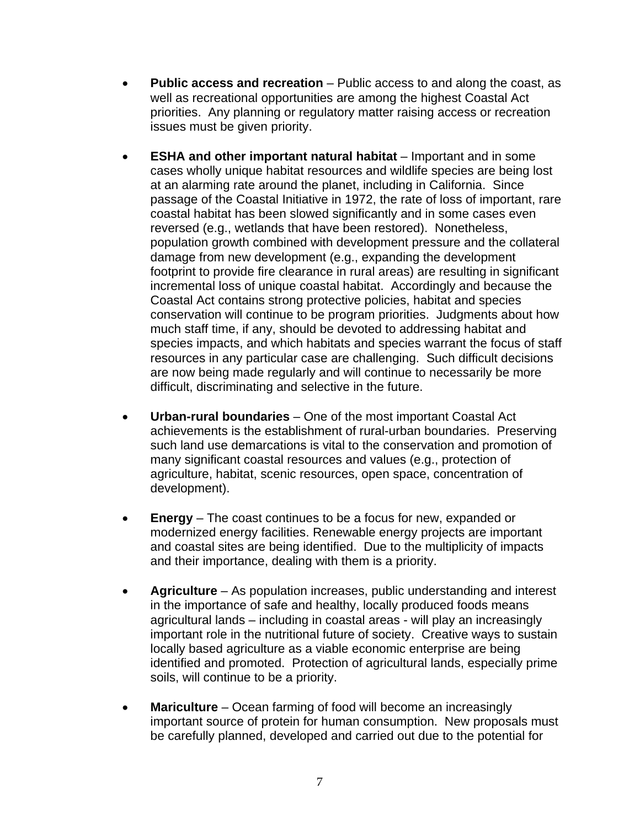- **Public access and recreation** Public access to and along the coast, as well as recreational opportunities are among the highest Coastal Act priorities. Any planning or regulatory matter raising access or recreation issues must be given priority.
- **ESHA and other important natural habitat** Important and in some cases wholly unique habitat resources and wildlife species are being lost at an alarming rate around the planet, including in California. Since passage of the Coastal Initiative in 1972, the rate of loss of important, rare coastal habitat has been slowed significantly and in some cases even reversed (e.g., wetlands that have been restored). Nonetheless, population growth combined with development pressure and the collateral damage from new development (e.g., expanding the development footprint to provide fire clearance in rural areas) are resulting in significant incremental loss of unique coastal habitat. Accordingly and because the Coastal Act contains strong protective policies, habitat and species conservation will continue to be program priorities. Judgments about how much staff time, if any, should be devoted to addressing habitat and species impacts, and which habitats and species warrant the focus of staff resources in any particular case are challenging. Such difficult decisions are now being made regularly and will continue to necessarily be more difficult, discriminating and selective in the future.
- **Urban-rural boundaries**  One of the most important Coastal Act achievements is the establishment of rural-urban boundaries. Preserving such land use demarcations is vital to the conservation and promotion of many significant coastal resources and values (e.g., protection of agriculture, habitat, scenic resources, open space, concentration of development).
- **Energy**  The coast continues to be a focus for new, expanded or modernized energy facilities. Renewable energy projects are important and coastal sites are being identified. Due to the multiplicity of impacts and their importance, dealing with them is a priority.
- **Agriculture**  As population increases, public understanding and interest in the importance of safe and healthy, locally produced foods means agricultural lands – including in coastal areas - will play an increasingly important role in the nutritional future of society. Creative ways to sustain locally based agriculture as a viable economic enterprise are being identified and promoted. Protection of agricultural lands, especially prime soils, will continue to be a priority.
- Mariculture Ocean farming of food will become an increasingly important source of protein for human consumption. New proposals must be carefully planned, developed and carried out due to the potential for